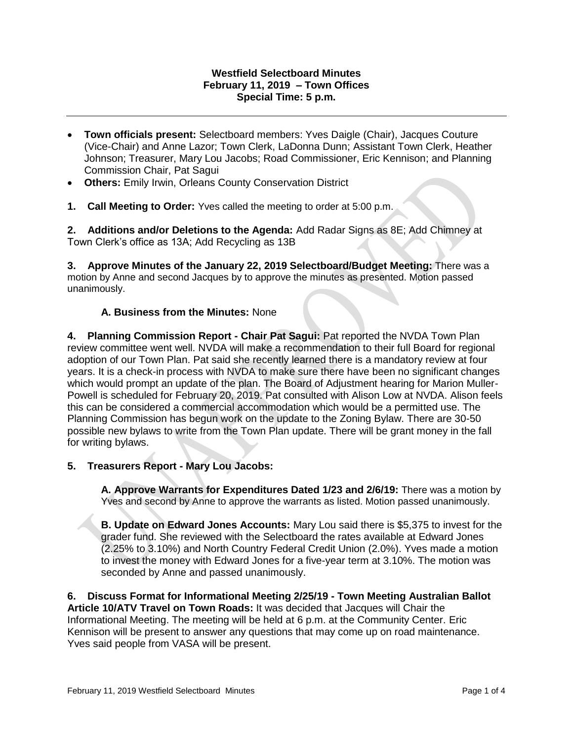## **Westfield Selectboard Minutes February 11, 2019 – Town Offices Special Time: 5 p.m.**

- **Town officials present:** Selectboard members: Yves Daigle (Chair), Jacques Couture (Vice-Chair) and Anne Lazor; Town Clerk, LaDonna Dunn; Assistant Town Clerk, Heather Johnson; Treasurer, Mary Lou Jacobs; Road Commissioner, Eric Kennison; and Planning Commission Chair, Pat Sagui
- **Others:** Emily Irwin, Orleans County Conservation District
- **1. Call Meeting to Order:** Yves called the meeting to order at 5:00 p.m.

**2. Additions and/or Deletions to the Agenda:** Add Radar Signs as 8E; Add Chimney at Town Clerk's office as 13A; Add Recycling as 13B

**3. Approve Minutes of the January 22, 2019 Selectboard/Budget Meeting:** There was a motion by Anne and second Jacques by to approve the minutes as presented. Motion passed unanimously.

## **A. Business from the Minutes:** None

**4. Planning Commission Report - Chair Pat Sagui:** Pat reported the NVDA Town Plan review committee went well. NVDA will make a recommendation to their full Board for regional adoption of our Town Plan. Pat said she recently learned there is a mandatory review at four years. It is a check-in process with NVDA to make sure there have been no significant changes which would prompt an update of the plan. The Board of Adjustment hearing for Marion Muller-Powell is scheduled for February 20, 2019. Pat consulted with Alison Low at NVDA. Alison feels this can be considered a commercial accommodation which would be a permitted use. The Planning Commission has begun work on the update to the Zoning Bylaw. There are 30-50 possible new bylaws to write from the Town Plan update. There will be grant money in the fall for writing bylaws.

**5. Treasurers Report - Mary Lou Jacobs:** 

**A. Approve Warrants for Expenditures Dated 1/23 and 2/6/19:** There was a motion by Yves and second by Anne to approve the warrants as listed. Motion passed unanimously.

**B. Update on Edward Jones Accounts:** Mary Lou said there is \$5,375 to invest for the grader fund. She reviewed with the Selectboard the rates available at Edward Jones (2.25% to 3.10%) and North Country Federal Credit Union (2.0%). Yves made a motion to invest the money with Edward Jones for a five-year term at 3.10%. The motion was seconded by Anne and passed unanimously.

**6. Discuss Format for Informational Meeting 2/25/19 - Town Meeting Australian Ballot Article 10/ATV Travel on Town Roads:** It was decided that Jacques will Chair the Informational Meeting. The meeting will be held at 6 p.m. at the Community Center. Eric Kennison will be present to answer any questions that may come up on road maintenance. Yves said people from VASA will be present.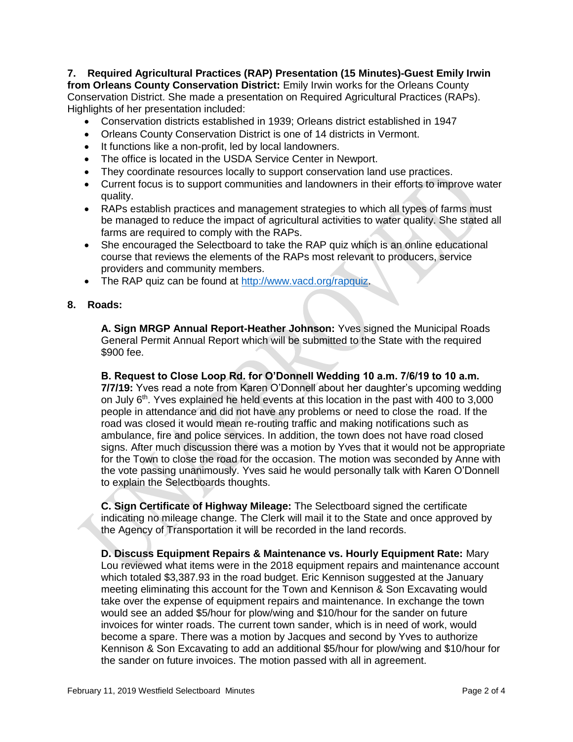**7. Required Agricultural Practices (RAP) Presentation (15 Minutes)-Guest Emily Irwin from Orleans County Conservation District:** Emily Irwin works for the Orleans County Conservation District. She made a presentation on Required Agricultural Practices (RAPs). Highlights of her presentation included:

- Conservation districts established in 1939; Orleans district established in 1947
- Orleans County Conservation District is one of 14 districts in Vermont.
- It functions like a non-profit, led by local landowners.
- The office is located in the USDA Service Center in Newport.
- They coordinate resources locally to support conservation land use practices.
- Current focus is to support communities and landowners in their efforts to improve water quality.
- RAPs establish practices and management strategies to which all types of farms must be managed to reduce the impact of agricultural activities to water quality. She stated all farms are required to comply with the RAPs.
- She encouraged the Selectboard to take the RAP quiz which is an online educational course that reviews the elements of the RAPs most relevant to producers, service providers and community members.
- The RAP quiz can be found at [http://www.vacd.org/rapquiz.](http://www.vacd.org/rapquiz)
- **8. Roads:**

**A. Sign MRGP Annual Report-Heather Johnson:** Yves signed the Municipal Roads General Permit Annual Report which will be submitted to the State with the required \$900 fee.

**B. Request to Close Loop Rd. for O'Donnell Wedding 10 a.m. 7/6/19 to 10 a.m. 7/7/19:** Yves read a note from Karen O'Donnell about her daughter's upcoming wedding on July  $6<sup>th</sup>$ . Yves explained he held events at this location in the past with 400 to 3,000 people in attendance and did not have any problems or need to close the road. If the road was closed it would mean re-routing traffic and making notifications such as ambulance, fire and police services. In addition, the town does not have road closed signs. After much discussion there was a motion by Yves that it would not be appropriate for the Town to close the road for the occasion. The motion was seconded by Anne with the vote passing unanimously. Yves said he would personally talk with Karen O'Donnell to explain the Selectboards thoughts.

**C. Sign Certificate of Highway Mileage:** The Selectboard signed the certificate indicating no mileage change. The Clerk will mail it to the State and once approved by the Agency of Transportation it will be recorded in the land records.

**D. Discuss Equipment Repairs & Maintenance vs. Hourly Equipment Rate:** Mary Lou reviewed what items were in the 2018 equipment repairs and maintenance account which totaled \$3,387.93 in the road budget. Eric Kennison suggested at the January meeting eliminating this account for the Town and Kennison & Son Excavating would take over the expense of equipment repairs and maintenance. In exchange the town would see an added \$5/hour for plow/wing and \$10/hour for the sander on future invoices for winter roads. The current town sander, which is in need of work, would become a spare. There was a motion by Jacques and second by Yves to authorize Kennison & Son Excavating to add an additional \$5/hour for plow/wing and \$10/hour for the sander on future invoices. The motion passed with all in agreement.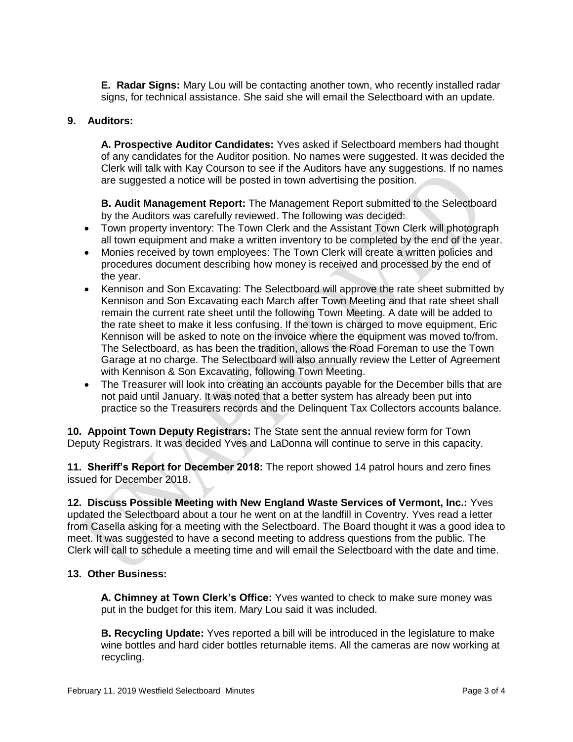**E. Radar Signs:** Mary Lou will be contacting another town, who recently installed radar signs, for technical assistance. She said she will email the Selectboard with an update.

## **9. Auditors:**

**A. Prospective Auditor Candidates:** Yves asked if Selectboard members had thought of any candidates for the Auditor position. No names were suggested. It was decided the Clerk will talk with Kay Courson to see if the Auditors have any suggestions. If no names are suggested a notice will be posted in town advertising the position.

**B. Audit Management Report:** The Management Report submitted to the Selectboard by the Auditors was carefully reviewed. The following was decided:

- Town property inventory: The Town Clerk and the Assistant Town Clerk will photograph all town equipment and make a written inventory to be completed by the end of the year.
- Monies received by town employees: The Town Clerk will create a written policies and procedures document describing how money is received and processed by the end of the year.
- Kennison and Son Excavating: The Selectboard will approve the rate sheet submitted by Kennison and Son Excavating each March after Town Meeting and that rate sheet shall remain the current rate sheet until the following Town Meeting. A date will be added to the rate sheet to make it less confusing. If the town is charged to move equipment, Eric Kennison will be asked to note on the invoice where the equipment was moved to/from. The Selectboard, as has been the tradition, allows the Road Foreman to use the Town Garage at no charge. The Selectboard will also annually review the Letter of Agreement with Kennison & Son Excavating, following Town Meeting.
- The Treasurer will look into creating an accounts payable for the December bills that are not paid until January. It was noted that a better system has already been put into practice so the Treasurers records and the Delinquent Tax Collectors accounts balance.

**10. Appoint Town Deputy Registrars:** The State sent the annual review form for Town Deputy Registrars. It was decided Yves and LaDonna will continue to serve in this capacity.

**11. Sheriff's Report for December 2018:** The report showed 14 patrol hours and zero fines issued for December 2018.

**12. Discuss Possible Meeting with New England Waste Services of Vermont, Inc.:** Yves updated the Selectboard about a tour he went on at the landfill in Coventry. Yves read a letter from Casella asking for a meeting with the Selectboard. The Board thought it was a good idea to meet. It was suggested to have a second meeting to address questions from the public. The Clerk will call to schedule a meeting time and will email the Selectboard with the date and time.

## **13. Other Business:**

**A. Chimney at Town Clerk's Office:** Yves wanted to check to make sure money was put in the budget for this item. Mary Lou said it was included.

**B. Recycling Update:** Yves reported a bill will be introduced in the legislature to make wine bottles and hard cider bottles returnable items. All the cameras are now working at recycling.